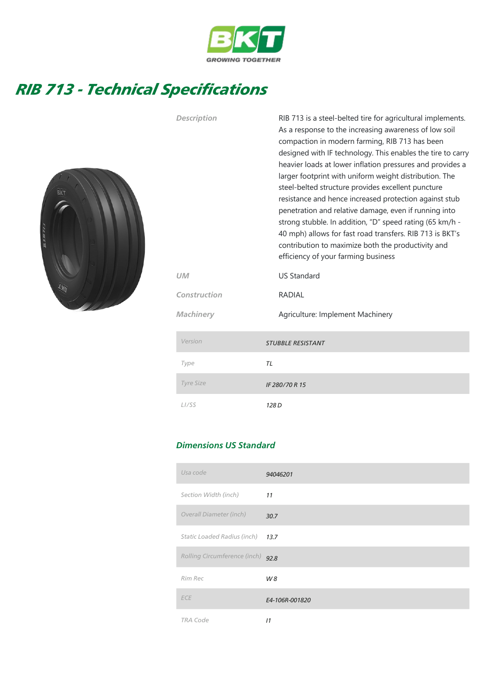

## RIB 713 - Technical Specifications



| Description        | RIB 713 is a steel-belted tire for agricultural implements.<br>As a response to the increasing awareness of low soil<br>compaction in modern farming, RIB 713 has been<br>designed with IF technology. This enables the tire to carry<br>heavier loads at lower inflation pressures and provides a<br>larger footprint with uniform weight distribution. The<br>steel-belted structure provides excellent puncture<br>resistance and hence increased protection against stub<br>penetration and relative damage, even if running into<br>strong stubble. In addition, "D" speed rating (65 km/h -<br>40 mph) allows for fast road transfers. RIB 713 is BKT's<br>contribution to maximize both the productivity and<br>efficiency of your farming business |
|--------------------|------------------------------------------------------------------------------------------------------------------------------------------------------------------------------------------------------------------------------------------------------------------------------------------------------------------------------------------------------------------------------------------------------------------------------------------------------------------------------------------------------------------------------------------------------------------------------------------------------------------------------------------------------------------------------------------------------------------------------------------------------------|
| UM                 | <b>US Standard</b>                                                                                                                                                                                                                                                                                                                                                                                                                                                                                                                                                                                                                                                                                                                                         |
| Construction       | <b>RADIAL</b>                                                                                                                                                                                                                                                                                                                                                                                                                                                                                                                                                                                                                                                                                                                                              |
| Machinery          | Agriculture: Implement Machinery                                                                                                                                                                                                                                                                                                                                                                                                                                                                                                                                                                                                                                                                                                                           |
| Version            | <b>STUBBLE RESISTANT</b>                                                                                                                                                                                                                                                                                                                                                                                                                                                                                                                                                                                                                                                                                                                                   |
| Type               | TL                                                                                                                                                                                                                                                                                                                                                                                                                                                                                                                                                                                                                                                                                                                                                         |
| <b>Tyre Size</b>   | IF 280/70 R 15                                                                                                                                                                                                                                                                                                                                                                                                                                                                                                                                                                                                                                                                                                                                             |
| L <sub>1</sub> /SS | 128 <sub>D</sub>                                                                                                                                                                                                                                                                                                                                                                                                                                                                                                                                                                                                                                                                                                                                           |

## Dimensions US Standard

| Usa code                     | 94046201       |
|------------------------------|----------------|
| Section Width (inch)         | 11             |
| Overall Diameter (inch)      | 30.7           |
| Static Loaded Radius (inch)  | 13.7           |
| Rolling Circumference (inch) | 92.8           |
| Rim Rec                      | W8             |
| <b>ECE</b>                   | E4-106R-001820 |
| <b>TRA Code</b>              | 11             |